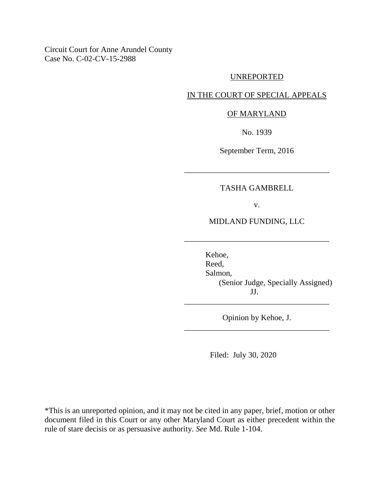Circuit Court for Anne Arundel County Case No. C-02-CV-15-2988

## UNREPORTED

# IN THE COURT OF SPECIAL APPEALS

## OF MARYLAND

No. 1939

September Term, 2016

# TASHA GAMBRELL

\_\_\_\_\_\_\_\_\_\_\_\_\_\_\_\_\_\_\_\_\_\_\_\_\_\_\_\_\_\_\_\_\_\_\_\_

v.

MIDLAND FUNDING, LLC

\_\_\_\_\_\_\_\_\_\_\_\_\_\_\_\_\_\_\_\_\_\_\_\_\_\_\_\_\_\_\_\_\_\_\_\_

Kehoe, Reed, Salmon, (Senior Judge, Specially Assigned) JJ.

Opinion by Kehoe, J. \_\_\_\_\_\_\_\_\_\_\_\_\_\_\_\_\_\_\_\_\_\_\_\_\_\_\_\_\_\_\_\_\_\_\_\_

\_\_\_\_\_\_\_\_\_\_\_\_\_\_\_\_\_\_\_\_\_\_\_\_\_\_\_\_\_\_\_\_\_\_\_\_

Filed: July 30, 2020

\*This is an unreported opinion, and it may not be cited in any paper, brief, motion or other document filed in this Court or any other Maryland Court as either precedent within the rule of stare decisis or as persuasive authority. *See* Md. Rule 1-104.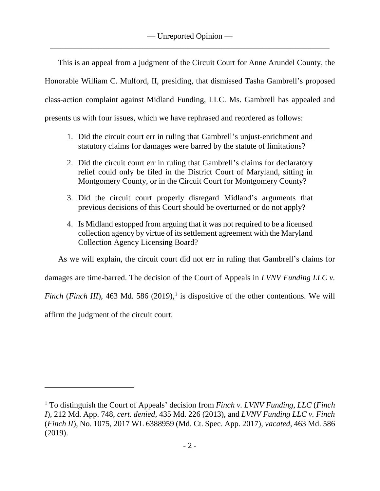This is an appeal from a judgment of the Circuit Court for Anne Arundel County, the Honorable William C. Mulford, II, presiding, that dismissed Tasha Gambrell's proposed class-action complaint against Midland Funding, LLC. Ms. Gambrell has appealed and presents us with four issues, which we have rephrased and reordered as follows:

- 1. Did the circuit court err in ruling that Gambrell's unjust-enrichment and statutory claims for damages were barred by the statute of limitations?
- 2. Did the circuit court err in ruling that Gambrell's claims for declaratory relief could only be filed in the District Court of Maryland, sitting in Montgomery County, or in the Circuit Court for Montgomery County?
- 3. Did the circuit court properly disregard Midland's arguments that previous decisions of this Court should be overturned or do not apply?
- 4. Is Midland estopped from arguing that it was not required to be a licensed collection agency by virtue of its settlement agreement with the Maryland Collection Agency Licensing Board?

As we will explain, the circuit court did not err in ruling that Gambrell's claims for

damages are time-barred. The decision of the Court of Appeals in *LVNV Funding LLC v.* 

*Finch* (*Finch III*), 463 Md. 586 (2019),<sup>1</sup> is dispositive of the other contentions. We will

affirm the judgment of the circuit court.

 $\overline{a}$ 

<sup>1</sup> To distinguish the Court of Appeals' decision from *Finch v. LVNV Funding, LLC* (*Finch I*), 212 Md. App. 748, *cert. denied*, 435 Md. 226 (2013), and *LVNV Funding LLC v. Finch* (*Finch II*), No. 1075, 2017 WL 6388959 (Md. Ct. Spec. App. 2017), *vacated*, 463 Md. 586 (2019).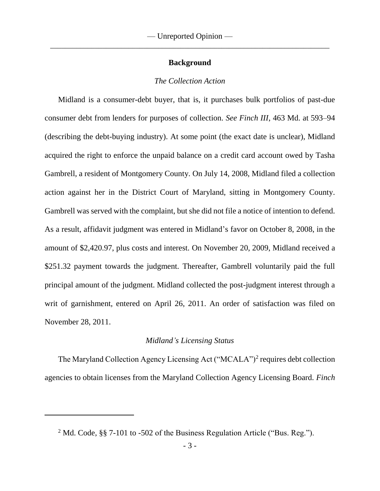# **Background**

## *The Collection Action*

Midland is a consumer-debt buyer, that is, it purchases bulk portfolios of past-due consumer debt from lenders for purposes of collection. *See Finch III*, 463 Md. at 593–94 (describing the debt-buying industry). At some point (the exact date is unclear), Midland acquired the right to enforce the unpaid balance on a credit card account owed by Tasha Gambrell, a resident of Montgomery County. On July 14, 2008, Midland filed a collection action against her in the District Court of Maryland, sitting in Montgomery County. Gambrell was served with the complaint, but she did not file a notice of intention to defend. As a result, affidavit judgment was entered in Midland's favor on October 8, 2008, in the amount of \$2,420.97, plus costs and interest. On November 20, 2009, Midland received a \$251.32 payment towards the judgment. Thereafter, Gambrell voluntarily paid the full principal amount of the judgment. Midland collected the post-judgment interest through a writ of garnishment, entered on April 26, 2011. An order of satisfaction was filed on November 28, 2011.

## *Midland's Licensing Status*

The Maryland Collection Agency Licensing Act ("MCALA")<sup>2</sup> requires debt collection agencies to obtain licenses from the Maryland Collection Agency Licensing Board. *Finch* 

<sup>&</sup>lt;sup>2</sup> Md. Code, §§ 7-101 to -502 of the Business Regulation Article ("Bus. Reg.").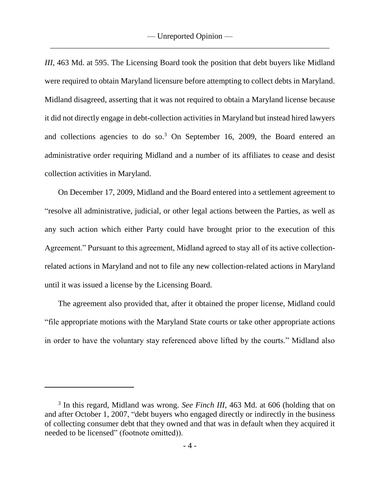*III*, 463 Md. at 595. The Licensing Board took the position that debt buyers like Midland were required to obtain Maryland licensure before attempting to collect debts in Maryland. Midland disagreed, asserting that it was not required to obtain a Maryland license because it did not directly engage in debt-collection activities in Maryland but instead hired lawyers and collections agencies to do so.<sup>3</sup> On September 16, 2009, the Board entered an administrative order requiring Midland and a number of its affiliates to cease and desist collection activities in Maryland.

On December 17, 2009, Midland and the Board entered into a settlement agreement to "resolve all administrative, judicial, or other legal actions between the Parties, as well as any such action which either Party could have brought prior to the execution of this Agreement." Pursuant to this agreement, Midland agreed to stay all of its active collectionrelated actions in Maryland and not to file any new collection-related actions in Maryland until it was issued a license by the Licensing Board.

The agreement also provided that, after it obtained the proper license, Midland could "file appropriate motions with the Maryland State courts or take other appropriate actions in order to have the voluntary stay referenced above lifted by the courts." Midland also

 $\overline{a}$ 

<sup>3</sup> In this regard, Midland was wrong. *See Finch III*, 463 Md. at 606 (holding that on and after October 1, 2007, "debt buyers who engaged directly or indirectly in the business of collecting consumer debt that they owned and that was in default when they acquired it needed to be licensed" (footnote omitted)).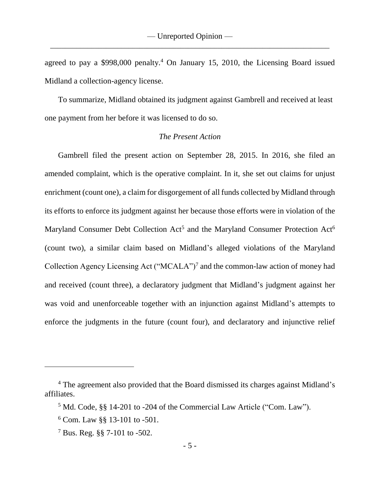agreed to pay a  $$998,000$  penalty.<sup>4</sup> On January 15, 2010, the Licensing Board issued Midland a collection-agency license.

To summarize, Midland obtained its judgment against Gambrell and received at least one payment from her before it was licensed to do so.

# *The Present Action*

Gambrell filed the present action on September 28, 2015. In 2016, she filed an amended complaint, which is the operative complaint. In it, she set out claims for unjust enrichment (count one), a claim for disgorgement of all funds collected by Midland through its efforts to enforce its judgment against her because those efforts were in violation of the Maryland Consumer Debt Collection Act<sup>5</sup> and the Maryland Consumer Protection Act<sup>6</sup> (count two), a similar claim based on Midland's alleged violations of the Maryland Collection Agency Licensing Act ("MCALA")<sup>7</sup> and the common-law action of money had and received (count three), a declaratory judgment that Midland's judgment against her was void and unenforceable together with an injunction against Midland's attempts to enforce the judgments in the future (count four), and declaratory and injunctive relief

 $\overline{a}$ 

<sup>4</sup> The agreement also provided that the Board dismissed its charges against Midland's affiliates.

<sup>5</sup> Md. Code, §§ 14-201 to -204 of the Commercial Law Article ("Com. Law").

<sup>6</sup> Com. Law §§ 13-101 to -501.

<sup>7</sup> Bus. Reg. §§ 7-101 to -502.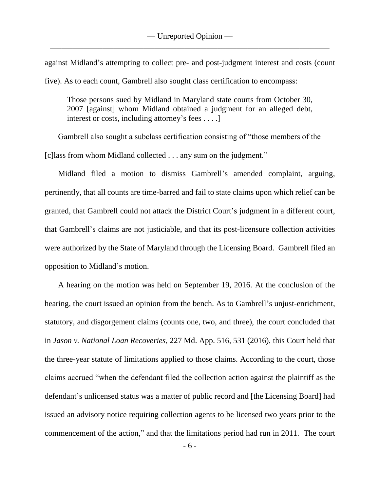against Midland's attempting to collect pre- and post-judgment interest and costs (count five). As to each count, Gambrell also sought class certification to encompass:

Those persons sued by Midland in Maryland state courts from October 30, 2007 [against] whom Midland obtained a judgment for an alleged debt, interest or costs, including attorney's fees . . . .]

Gambrell also sought a subclass certification consisting of "those members of the [c] lass from whom Midland collected . . . any sum on the judgment."

Midland filed a motion to dismiss Gambrell's amended complaint, arguing, pertinently, that all counts are time-barred and fail to state claims upon which relief can be granted, that Gambrell could not attack the District Court's judgment in a different court, that Gambrell's claims are not justiciable, and that its post-licensure collection activities were authorized by the State of Maryland through the Licensing Board. Gambrell filed an opposition to Midland's motion.

A hearing on the motion was held on September 19, 2016. At the conclusion of the hearing, the court issued an opinion from the bench. As to Gambrell's unjust-enrichment, statutory, and disgorgement claims (counts one, two, and three), the court concluded that in *Jason v. National Loan Recoveries*, 227 Md. App. 516, 531 (2016), this Court held that the three-year statute of limitations applied to those claims. According to the court, those claims accrued "when the defendant filed the collection action against the plaintiff as the defendant's unlicensed status was a matter of public record and [the Licensing Board] had issued an advisory notice requiring collection agents to be licensed two years prior to the commencement of the action," and that the limitations period had run in 2011. The court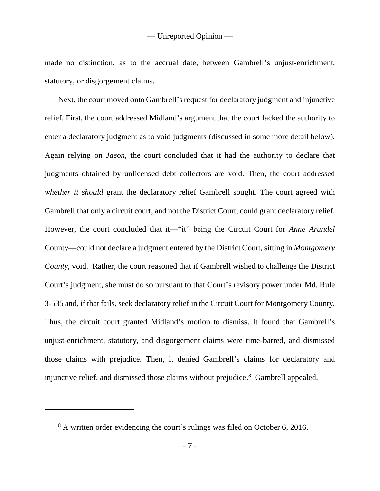made no distinction, as to the accrual date, between Gambrell's unjust-enrichment, statutory, or disgorgement claims.

Next, the court moved onto Gambrell's request for declaratory judgment and injunctive relief. First, the court addressed Midland's argument that the court lacked the authority to enter a declaratory judgment as to void judgments (discussed in some more detail below). Again relying on *Jason*, the court concluded that it had the authority to declare that judgments obtained by unlicensed debt collectors are void. Then, the court addressed *whether it should* grant the declaratory relief Gambrell sought. The court agreed with Gambrell that only a circuit court, and not the District Court, could grant declaratory relief. However, the court concluded that it—"it" being the Circuit Court for *Anne Arundel* County—could not declare a judgment entered by the District Court, sitting in *Montgomery County*, void. Rather, the court reasoned that if Gambrell wished to challenge the District Court's judgment, she must do so pursuant to that Court's revisory power under Md. Rule 3-535 and, if that fails, seek declaratory relief in the Circuit Court for Montgomery County. Thus, the circuit court granted Midland's motion to dismiss. It found that Gambrell's unjust-enrichment, statutory, and disgorgement claims were time-barred, and dismissed those claims with prejudice. Then, it denied Gambrell's claims for declaratory and injunctive relief, and dismissed those claims without prejudice.<sup>8</sup> Gambrell appealed.

<sup>&</sup>lt;sup>8</sup> A written order evidencing the court's rulings was filed on October 6, 2016.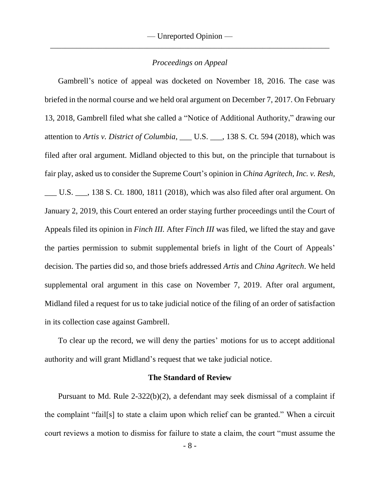# *Proceedings on Appeal*

Gambrell's notice of appeal was docketed on November 18, 2016. The case was briefed in the normal course and we held oral argument on December 7, 2017. On February 13, 2018, Gambrell filed what she called a "Notice of Additional Authority," drawing our attention to *Artis v. District of Columbia*, \_\_\_ U.S. \_\_\_, 138 S. Ct. 594 (2018), which was filed after oral argument. Midland objected to this but, on the principle that turnabout is fair play, asked us to consider the Supreme Court's opinion in *China Agritech, Inc. v. Resh*, \_\_\_ U.S. \_\_\_, 138 S. Ct. 1800, 1811 (2018), which was also filed after oral argument. On January 2, 2019, this Court entered an order staying further proceedings until the Court of Appeals filed its opinion in *Finch III.* After *Finch III* was filed, we lifted the stay and gave the parties permission to submit supplemental briefs in light of the Court of Appeals' decision. The parties did so, and those briefs addressed *Artis* and *China Agritech*. We held supplemental oral argument in this case on November 7, 2019. After oral argument, Midland filed a request for us to take judicial notice of the filing of an order of satisfaction in its collection case against Gambrell.

To clear up the record, we will deny the parties' motions for us to accept additional authority and will grant Midland's request that we take judicial notice.

## **The Standard of Review**

Pursuant to Md. Rule 2-322(b)(2), a defendant may seek dismissal of a complaint if the complaint "fail[s] to state a claim upon which relief can be granted." When a circuit court reviews a motion to dismiss for failure to state a claim, the court "must assume the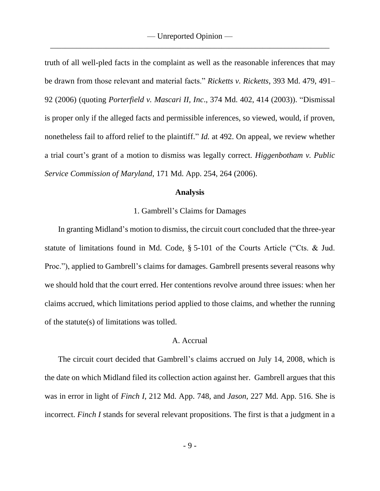truth of all well-pled facts in the complaint as well as the reasonable inferences that may be drawn from those relevant and material facts." *Ricketts v. Ricketts*, 393 Md. 479, 491– 92 (2006) (quoting *Porterfield v. Mascari II, Inc*., 374 Md. 402, 414 (2003)). "Dismissal is proper only if the alleged facts and permissible inferences, so viewed, would, if proven, nonetheless fail to afford relief to the plaintiff." *Id.* at 492. On appeal, we review whether a trial court's grant of a motion to dismiss was legally correct. *Higgenbotham v. Public Service Commission of Maryland*, 171 Md. App. 254, 264 (2006).

#### **Analysis**

### 1. Gambrell's Claims for Damages

In granting Midland's motion to dismiss, the circuit court concluded that the three-year statute of limitations found in Md. Code, § 5-101 of the Courts Article ("Cts. & Jud. Proc."), applied to Gambrell's claims for damages. Gambrell presents several reasons why we should hold that the court erred. Her contentions revolve around three issues: when her claims accrued, which limitations period applied to those claims, and whether the running of the statute(s) of limitations was tolled.

### A. Accrual

The circuit court decided that Gambrell's claims accrued on July 14, 2008, which is the date on which Midland filed its collection action against her. Gambrell argues that this was in error in light of *Finch I*, 212 Md. App. 748, and *Jason*, 227 Md. App. 516. She is incorrect. *Finch I* stands for several relevant propositions. The first is that a judgment in a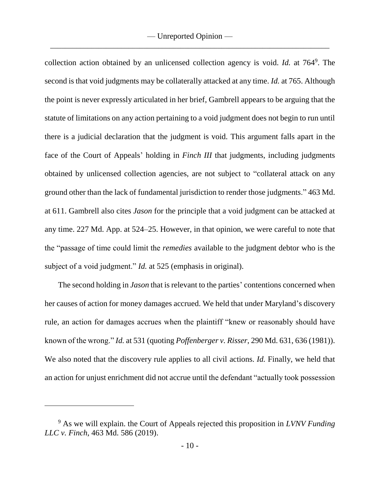collection action obtained by an unlicensed collection agency is void. *Id.* at 764<sup>9</sup> . The second is that void judgments may be collaterally attacked at any time. *Id.* at 765. Although the point is never expressly articulated in her brief, Gambrell appears to be arguing that the statute of limitations on any action pertaining to a void judgment does not begin to run until there is a judicial declaration that the judgment is void. This argument falls apart in the face of the Court of Appeals' holding in *Finch III* that judgments, including judgments obtained by unlicensed collection agencies, are not subject to "collateral attack on any ground other than the lack of fundamental jurisdiction to render those judgments." 463 Md. at 611. Gambrell also cites *Jason* for the principle that a void judgment can be attacked at any time. 227 Md. App. at 524–25. However, in that opinion, we were careful to note that the "passage of time could limit the *remedies* available to the judgment debtor who is the subject of a void judgment." *Id.* at 525 (emphasis in original).

The second holding in *Jason* that is relevant to the parties' contentions concerned when her causes of action for money damages accrued. We held that under Maryland's discovery rule, an action for damages accrues when the plaintiff "knew or reasonably should have known of the wrong." *Id.* at 531 (quoting *Poffenberger v. Risser*, 290 Md. 631, 636 (1981)). We also noted that the discovery rule applies to all civil actions. *Id.* Finally, we held that an action for unjust enrichment did not accrue until the defendant "actually took possession

<sup>9</sup> As we will explain. the Court of Appeals rejected this proposition in *LVNV Funding LLC v. Finch*, 463 Md. 586 (2019).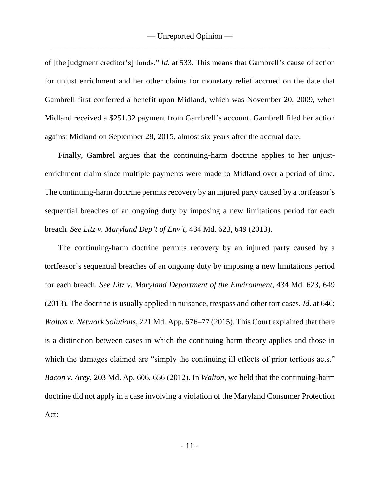of [the judgment creditor's] funds." *Id.* at 533. This means that Gambrell's cause of action for unjust enrichment and her other claims for monetary relief accrued on the date that Gambrell first conferred a benefit upon Midland, which was November 20, 2009, when Midland received a \$251.32 payment from Gambrell's account. Gambrell filed her action against Midland on September 28, 2015, almost six years after the accrual date.

Finally, Gambrel argues that the continuing-harm doctrine applies to her unjustenrichment claim since multiple payments were made to Midland over a period of time. The continuing-harm doctrine permits recovery by an injured party caused by a tortfeasor's sequential breaches of an ongoing duty by imposing a new limitations period for each breach. *See Litz v. Maryland Dep't of Env't*, 434 Md. 623, 649 (2013).

The continuing-harm doctrine permits recovery by an injured party caused by a tortfeasor's sequential breaches of an ongoing duty by imposing a new limitations period for each breach. *See Litz v. Maryland Department of the Environment*, 434 Md. 623, 649 (2013). The doctrine is usually applied in nuisance, trespass and other tort cases. *Id.* at 646; *Walton v. Network Solutions*, 221 Md. App. 676–77 (2015). This Court explained that there is a distinction between cases in which the continuing harm theory applies and those in which the damages claimed are "simply the continuing ill effects of prior tortious acts." *Bacon v. Arey*, 203 Md. Ap. 606, 656 (2012). In *Walton*, we held that the continuing-harm doctrine did not apply in a case involving a violation of the Maryland Consumer Protection Act: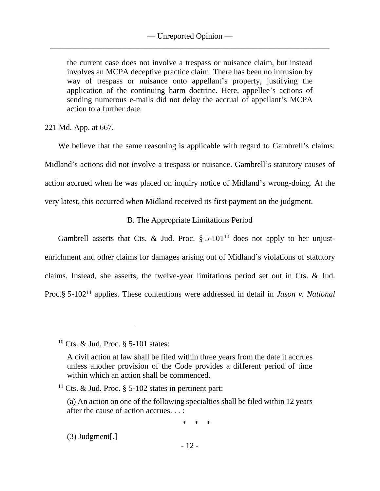the current case does not involve a trespass or nuisance claim, but instead involves an MCPA deceptive practice claim. There has been no intrusion by way of trespass or nuisance onto appellant's property, justifying the application of the continuing harm doctrine. Here, appellee's actions of sending numerous e-mails did not delay the accrual of appellant's MCPA action to a further date.

221 Md. App. at 667.

We believe that the same reasoning is applicable with regard to Gambrell's claims: Midland's actions did not involve a trespass or nuisance. Gambrell's statutory causes of action accrued when he was placed on inquiry notice of Midland's wrong-doing. At the very latest, this occurred when Midland received its first payment on the judgment.

# B. The Appropriate Limitations Period

Gambrell asserts that Cts. & Jud. Proc.  $\S 5{\text -}101^{10}$  does not apply to her unjustenrichment and other claims for damages arising out of Midland's violations of statutory claims. Instead, she asserts, the twelve-year limitations period set out in Cts. & Jud. Proc.§ 5-102<sup>11</sup> applies. These contentions were addressed in detail in *Jason v. National* 

\* \* \*

(3) Judgment[.]

<sup>&</sup>lt;sup>10</sup> Cts. & Jud. Proc.  $\S$  5-101 states:

A civil action at law shall be filed within three years from the date it accrues unless another provision of the Code provides a different period of time within which an action shall be commenced.

<sup>&</sup>lt;sup>11</sup> Cts. & Jud. Proc.  $\S$  5-102 states in pertinent part:

<sup>(</sup>a) An action on one of the following specialties shall be filed within 12 years after the cause of action accrues. . . :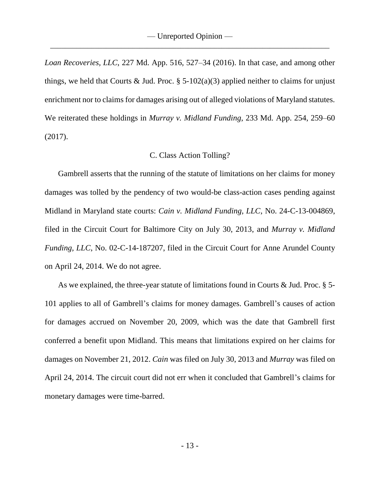*Loan Recoveries, LLC*, 227 Md. App. 516, 527–34 (2016). In that case, and among other things, we held that Courts & Jud. Proc.  $\S$  5-102(a)(3) applied neither to claims for unjust enrichment nor to claims for damages arising out of alleged violations of Maryland statutes. We reiterated these holdings in *Murray v. Midland Funding*, 233 Md. App. 254, 259–60 (2017).

### C. Class Action Tolling?

Gambrell asserts that the running of the statute of limitations on her claims for money damages was tolled by the pendency of two would-be class-action cases pending against Midland in Maryland state courts: *Cain v. Midland Funding, LLC*, No. 24-C-13-004869, filed in the Circuit Court for Baltimore City on July 30, 2013, and *Murray v. Midland Funding, LLC*, No. 02-C-14-187207, filed in the Circuit Court for Anne Arundel County on April 24, 2014. We do not agree.

As we explained, the three-year statute of limitations found in Courts & Jud. Proc. § 5- 101 applies to all of Gambrell's claims for money damages. Gambrell's causes of action for damages accrued on November 20, 2009, which was the date that Gambrell first conferred a benefit upon Midland. This means that limitations expired on her claims for damages on November 21, 2012. *Cain* was filed on July 30, 2013 and *Murray* was filed on April 24, 2014. The circuit court did not err when it concluded that Gambrell's claims for monetary damages were time-barred.